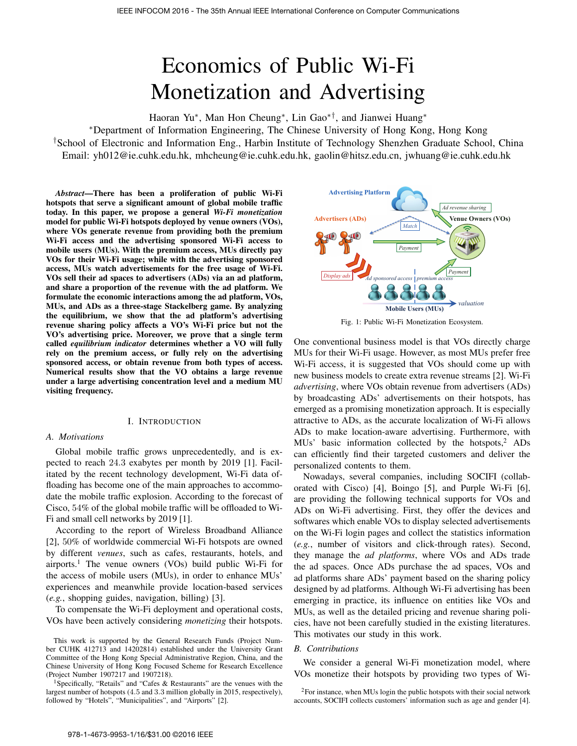# Economics of Public Wi-Fi Monetization and Advertising

Haoran Yu<sup>∗</sup> , Man Hon Cheung<sup>∗</sup> , Lin Gao∗†, and Jianwei Huang<sup>∗</sup>

<sup>∗</sup>Department of Information Engineering, The Chinese University of Hong Kong, Hong Kong †School of Electronic and Information Eng., Harbin Institute of Technology Shenzhen Graduate School, China Email: yh012@ie.cuhk.edu.hk, mhcheung@ie.cuhk.edu.hk, gaolin@hitsz.edu.cn, jwhuang@ie.cuhk.edu.hk

*Abstract*—There has been a proliferation of public Wi-Fi hotspots that serve a significant amount of global mobile traffic today. In this paper, we propose a general *Wi-Fi monetization* model for public Wi-Fi hotspots deployed by venue owners (VOs), where VOs generate revenue from providing both the premium Wi-Fi access and the advertising sponsored Wi-Fi access to mobile users (MUs). With the premium access, MUs directly pay VOs for their Wi-Fi usage; while with the advertising sponsored access, MUs watch advertisements for the free usage of Wi-Fi. VOs sell their ad spaces to advertisers (ADs) via an ad platform, and share a proportion of the revenue with the ad platform. We formulate the economic interactions among the ad platform, VOs, MUs, and ADs as a three-stage Stackelberg game. By analyzing the equilibrium, we show that the ad platform's advertising revenue sharing policy affects a VO's Wi-Fi price but not the VO's advertising price. Moreover, we prove that a single term called *equilibrium indicator* determines whether a VO will fully rely on the premium access, or fully rely on the advertising sponsored access, or obtain revenue from both types of access. Numerical results show that the VO obtains a large revenue under a large advertising concentration level and a medium MU visiting frequency.

## I. INTRODUCTION

## *A. Motivations*

Global mobile traffic grows unprecedentedly, and is expected to reach 24.3 exabytes per month by 2019 [1]. Facilitated by the recent technology development, Wi-Fi data offloading has become one of the main approaches to accommodate the mobile traffic explosion. According to the forecast of Cisco, 54% of the global mobile traffic will be offloaded to Wi-Fi and small cell networks by 2019 [1].

According to the report of Wireless Broadband Alliance [2], 50% of worldwide commercial Wi-Fi hotspots are owned by different *venues*, such as cafes, restaurants, hotels, and airports.<sup>1</sup> The venue owners (VOs) build public Wi-Fi for the access of mobile users (MUs), in order to enhance MUs' experiences and meanwhile provide location-based services (*e.g.*, shopping guides, navigation, billing) [3].

To compensate the Wi-Fi deployment and operational costs, VOs have been actively considering *monetizing* their hotspots.



Fig. 1: Public Wi-Fi Monetization Ecosystem.

One conventional business model is that VOs directly charge MUs for their Wi-Fi usage. However, as most MUs prefer free Wi-Fi access, it is suggested that VOs should come up with new business models to create extra revenue streams [2]. Wi-Fi *advertising*, where VOs obtain revenue from advertisers (ADs) by broadcasting ADs' advertisements on their hotspots, has emerged as a promising monetization approach. It is especially attractive to ADs, as the accurate localization of Wi-Fi allows ADs to make location-aware advertising. Furthermore, with MUs' basic information collected by the hotspots, $<sup>2</sup>$  ADs</sup> can efficiently find their targeted customers and deliver the personalized contents to them.

Nowadays, several companies, including SOCIFI (collaborated with Cisco) [4], Boingo [5], and Purple Wi-Fi [6], are providing the following technical supports for VOs and ADs on Wi-Fi advertising. First, they offer the devices and softwares which enable VOs to display selected advertisements on the Wi-Fi login pages and collect the statistics information (*e.g.*, number of visitors and click-through rates). Second, they manage the *ad platforms*, where VOs and ADs trade the ad spaces. Once ADs purchase the ad spaces, VOs and ad platforms share ADs' payment based on the sharing policy designed by ad platforms. Although Wi-Fi advertising has been emerging in practice, its influence on entities like VOs and MUs, as well as the detailed pricing and revenue sharing policies, have not been carefully studied in the existing literatures. This motivates our study in this work.

## *B. Contributions*

We consider a general Wi-Fi monetization model, where VOs monetize their hotspots by providing two types of Wi-

This work is supported by the General Research Funds (Project Number CUHK 412713 and 14202814) established under the University Grant Committee of the Hong Kong Special Administrative Region, China, and the Chinese University of Hong Kong Focused Scheme for Research Excellence (Project Number 1907217 and 1907218).

<sup>&</sup>lt;sup>1</sup>Specifically, "Retails" and "Cafes & Restaurants" are the venues with the largest number of hotspots (4.5 and 3.3 million globally in 2015, respectively), followed by "Hotels", "Municipalities", and "Airports" [2].

 $2$ For instance, when MUs login the public hotspots with their social network accounts, SOCIFI collects customers' information such as age and gender [4].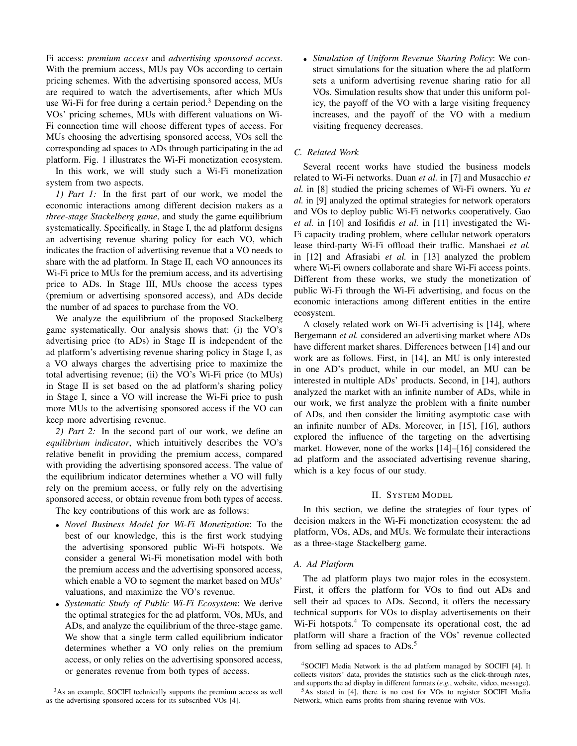Fi access: *premium access* and *advertising sponsored access*. With the premium access, MUs pay VOs according to certain pricing schemes. With the advertising sponsored access, MUs are required to watch the advertisements, after which MUs use Wi-Fi for free during a certain period.<sup>3</sup> Depending on the VOs' pricing schemes, MUs with different valuations on Wi-Fi connection time will choose different types of access. For MUs choosing the advertising sponsored access, VOs sell the corresponding ad spaces to ADs through participating in the ad platform. Fig. 1 illustrates the Wi-Fi monetization ecosystem.

In this work, we will study such a Wi-Fi monetization system from two aspects.

*1) Part 1:* In the first part of our work, we model the economic interactions among different decision makers as a *three-stage Stackelberg game*, and study the game equilibrium systematically. Specifically, in Stage I, the ad platform designs an advertising revenue sharing policy for each VO, which indicates the fraction of advertising revenue that a VO needs to share with the ad platform. In Stage II, each VO announces its Wi-Fi price to MUs for the premium access, and its advertising price to ADs. In Stage III, MUs choose the access types (premium or advertising sponsored access), and ADs decide the number of ad spaces to purchase from the VO.

We analyze the equilibrium of the proposed Stackelberg game systematically. Our analysis shows that: (i) the VO's advertising price (to ADs) in Stage II is independent of the ad platform's advertising revenue sharing policy in Stage I, as a VO always charges the advertising price to maximize the total advertising revenue; (ii) the VO's Wi-Fi price (to MUs) in Stage II is set based on the ad platform's sharing policy in Stage I, since a VO will increase the Wi-Fi price to push more MUs to the advertising sponsored access if the VO can keep more advertising revenue.

*2) Part 2:* In the second part of our work, we define an *equilibrium indicator*, which intuitively describes the VO's relative benefit in providing the premium access, compared with providing the advertising sponsored access. The value of the equilibrium indicator determines whether a VO will fully rely on the premium access, or fully rely on the advertising sponsored access, or obtain revenue from both types of access.

The key contributions of this work are as follows:

- *Novel Business Model for Wi-Fi Monetization*: To the best of our knowledge, this is the first work studying the advertising sponsored public Wi-Fi hotspots. We consider a general Wi-Fi monetisation model with both the premium access and the advertising sponsored access, which enable a VO to segment the market based on MUs' valuations, and maximize the VO's revenue.
- *Systematic Study of Public Wi-Fi Ecosystem*: We derive the optimal strategies for the ad platform, VOs, MUs, and ADs, and analyze the equilibrium of the three-stage game. We show that a single term called equilibrium indicator determines whether a VO only relies on the premium access, or only relies on the advertising sponsored access, or generates revenue from both types of access.

• *Simulation of Uniform Revenue Sharing Policy*: We construct simulations for the situation where the ad platform sets a uniform advertising revenue sharing ratio for all VOs. Simulation results show that under this uniform policy, the payoff of the VO with a large visiting frequency increases, and the payoff of the VO with a medium visiting frequency decreases.

## *C. Related Work*

Several recent works have studied the business models related to Wi-Fi networks. Duan *et al.* in [7] and Musacchio *et al.* in [8] studied the pricing schemes of Wi-Fi owners. Yu *et al.* in [9] analyzed the optimal strategies for network operators and VOs to deploy public Wi-Fi networks cooperatively. Gao *et al.* in [10] and Iosifidis *et al.* in [11] investigated the Wi-Fi capacity trading problem, where cellular network operators lease third-party Wi-Fi offload their traffic. Manshaei *et al.* in [12] and Afrasiabi *et al.* in [13] analyzed the problem where Wi-Fi owners collaborate and share Wi-Fi access points. Different from these works, we study the monetization of public Wi-Fi through the Wi-Fi advertising, and focus on the economic interactions among different entities in the entire ecosystem.

A closely related work on Wi-Fi advertising is [14], where Bergemann *et al.* considered an advertising market where ADs have different market shares. Differences between [14] and our work are as follows. First, in [14], an MU is only interested in one AD's product, while in our model, an MU can be interested in multiple ADs' products. Second, in [14], authors analyzed the market with an infinite number of ADs, while in our work, we first analyze the problem with a finite number of ADs, and then consider the limiting asymptotic case with an infinite number of ADs. Moreover, in [15], [16], authors explored the influence of the targeting on the advertising market. However, none of the works [14]–[16] considered the ad platform and the associated advertising revenue sharing, which is a key focus of our study.

## II. SYSTEM MODEL

In this section, we define the strategies of four types of decision makers in the Wi-Fi monetization ecosystem: the ad platform, VOs, ADs, and MUs. We formulate their interactions as a three-stage Stackelberg game.

## *A. Ad Platform*

The ad platform plays two major roles in the ecosystem. First, it offers the platform for VOs to find out ADs and sell their ad spaces to ADs. Second, it offers the necessary technical supports for VOs to display advertisements on their Wi-Fi hotspots. $4\text{ To compensate}$  its operational cost, the ad platform will share a fraction of the VOs' revenue collected from selling ad spaces to ADs.<sup>5</sup>

<sup>&</sup>lt;sup>3</sup>As an example, SOCIFI technically supports the premium access as well as the advertising sponsored access for its subscribed VOs [4].

<sup>4</sup>SOCIFI Media Network is the ad platform managed by SOCIFI [4]. It collects visitors' data, provides the statistics such as the click-through rates, and supports the ad display in different formats (*e.g.*, website, video, message).

<sup>&</sup>lt;sup>5</sup>As stated in [4], there is no cost for VOs to register SOCIFI Media Network, which earns profits from sharing revenue with VOs.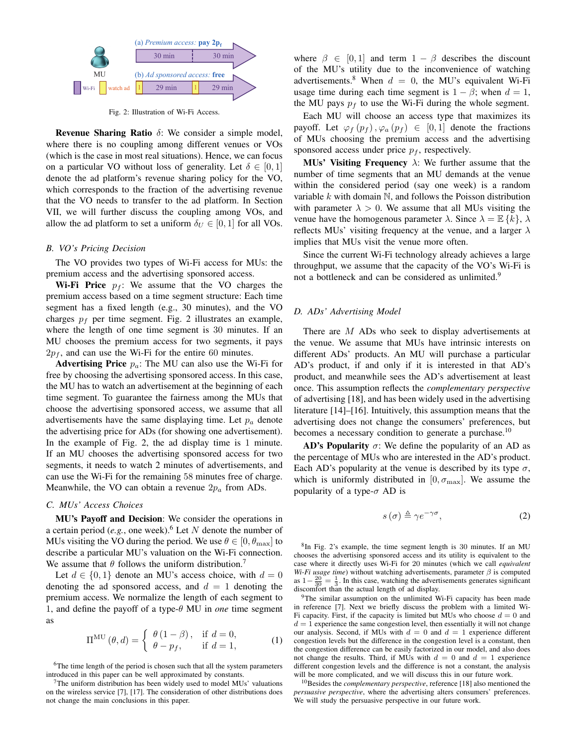

Fig. 2: Illustration of Wi-Fi Access.

**Revenue Sharing Ratio**  $\delta$ : We consider a simple model, where there is no coupling among different venues or VOs (which is the case in most real situations). Hence, we can focus on a particular VO without loss of generality. Let  $\delta \in [0,1]$ denote the ad platform's revenue sharing policy for the VO, which corresponds to the fraction of the advertising revenue that the VO needs to transfer to the ad platform. In Section VII, we will further discuss the coupling among VOs, and allow the ad platform to set a uniform  $\delta_U \in [0, 1]$  for all VOs.

## *B. VO's Pricing Decision*

The VO provides two types of Wi-Fi access for MUs: the premium access and the advertising sponsored access.

**Wi-Fi Price**  $p_f$ : We assume that the VO charges the premium access based on a time segment structure: Each time segment has a fixed length (e.g., 30 minutes), and the VO charges  $p_f$  per time segment. Fig. 2 illustrates an example, where the length of one time segment is 30 minutes. If an MU chooses the premium access for two segments, it pays  $2p_f$ , and can use the Wi-Fi for the entire 60 minutes.

Advertising Price  $p_a$ : The MU can also use the Wi-Fi for free by choosing the advertising sponsored access. In this case, the MU has to watch an advertisement at the beginning of each time segment. To guarantee the fairness among the MUs that choose the advertising sponsored access, we assume that all advertisements have the same displaying time. Let  $p_a$  denote the advertising price for ADs (for showing one advertisement). In the example of Fig. 2, the ad display time is 1 minute. If an MU chooses the advertising sponsored access for two segments, it needs to watch 2 minutes of advertisements, and can use the Wi-Fi for the remaining 58 minutes free of charge. Meanwhile, the VO can obtain a revenue  $2p_a$  from ADs.

## *C. MUs' Access Choices*

MU's Payoff and Decision: We consider the operations in a certain period  $(e.g.,$  one week).<sup>6</sup> Let N denote the number of MUs visiting the VO during the period. We use  $\theta \in [0, \theta_{\text{max}}]$  to describe a particular MU's valuation on the Wi-Fi connection. We assume that  $\theta$  follows the uniform distribution.<sup>7</sup>

Let  $d \in \{0, 1\}$  denote an MU's access choice, with  $d = 0$ denoting the ad sponsored access, and  $d = 1$  denoting the premium access. We normalize the length of each segment to 1, and define the payoff of a type-θ MU in *one* time segment as

$$
\Pi^{\text{MU}}\left(\theta,d\right) = \begin{cases} \theta\left(1-\beta\right), & \text{if } d = 0, \\ \theta - p_f, & \text{if } d = 1, \end{cases}
$$
 (1)

<sup>6</sup>The time length of the period is chosen such that all the system parameters introduced in this paper can be well approximated by constants.

 $7$ The uniform distribution has been widely used to model MUs' valuations on the wireless service [7], [17]. The consideration of other distributions does not change the main conclusions in this paper.

where  $\beta \in [0, 1]$  and term  $1 - \beta$  describes the discount of the MU's utility due to the inconvenience of watching advertisements.<sup>8</sup> When  $d = 0$ , the MU's equivalent Wi-Fi usage time during each time segment is  $1 - \beta$ ; when  $d = 1$ , the MU pays  $p_f$  to use the Wi-Fi during the whole segment.

Each MU will choose an access type that maximizes its payoff. Let  $\varphi_f(p_f), \varphi_a(p_f) \in [0,1]$  denote the fractions of MUs choosing the premium access and the advertising sponsored access under price  $p_f$ , respectively.

MUs' Visiting Frequency  $\lambda$ : We further assume that the number of time segments that an MU demands at the venue within the considered period (say one week) is a random variable  $k$  with domain  $\mathbb{N}$ , and follows the Poisson distribution with parameter  $\lambda > 0$ . We assume that all MUs visiting the venue have the homogenous parameter  $\lambda$ . Since  $\lambda = \mathbb{E} \{k\}, \lambda$ reflects MUs' visiting frequency at the venue, and a larger  $\lambda$ implies that MUs visit the venue more often.

Since the current Wi-Fi technology already achieves a large throughput, we assume that the capacity of the VO's Wi-Fi is not a bottleneck and can be considered as unlimited.<sup>9</sup>

## *D. ADs' Advertising Model*

There are M ADs who seek to display advertisements at the venue. We assume that MUs have intrinsic interests on different ADs' products. An MU will purchase a particular AD's product, if and only if it is interested in that AD's product, and meanwhile sees the AD's advertisement at least once. This assumption reflects the *complementary perspective* of advertising [18], and has been widely used in the advertising literature [14]–[16]. Intuitively, this assumption means that the advertising does not change the consumers' preferences, but becomes a necessary condition to generate a purchase.<sup>10</sup>

AD's Popularity  $\sigma$ : We define the popularity of an AD as the percentage of MUs who are interested in the AD's product. Each AD's popularity at the venue is described by its type  $\sigma$ , which is uniformly distributed in  $[0, \sigma_{\text{max}}]$ . We assume the popularity of a type- $\sigma$  AD is

$$
s(\sigma) \triangleq \gamma e^{-\gamma \sigma}, \tag{2}
$$

<sup>8</sup>In Fig. 2's example, the time segment length is 30 minutes. If an MU chooses the advertising sponsored access and its utility is equivalent to the case where it directly uses Wi-Fi for 20 minutes (which we call *equivalent Wi-Fi usage time*) without watching advertisements, parameter  $β$  is computed as  $1-\frac{20}{30}=\frac{1}{3}$ . In this case, watching the advertisements generates significant discomfort than the actual length of ad display.

<sup>9</sup>The similar assumption on the unlimited Wi-Fi capacity has been made in reference [7]. Next we briefly discuss the problem with a limited Wi-Fi capacity. First, if the capacity is limited but MUs who choose  $d = 0$  and  $d = 1$  experience the same congestion level, then essentially it will not change our analysis. Second, if MUs with  $d = 0$  and  $d = 1$  experience different congestion levels but the difference in the congestion level is a constant, then the congestion difference can be easily factorized in our model, and also does not change the results. Third, if MUs with  $d = 0$  and  $d = 1$  experience different congestion levels and the difference is not a constant, the analysis will be more complicated, and we will discuss this in our future work.

<sup>10</sup>Besides the *complementary perspective*, reference [18] also mentioned the *persuasive perspective*, where the advertising alters consumers' preferences. We will study the persuasive perspective in our future work.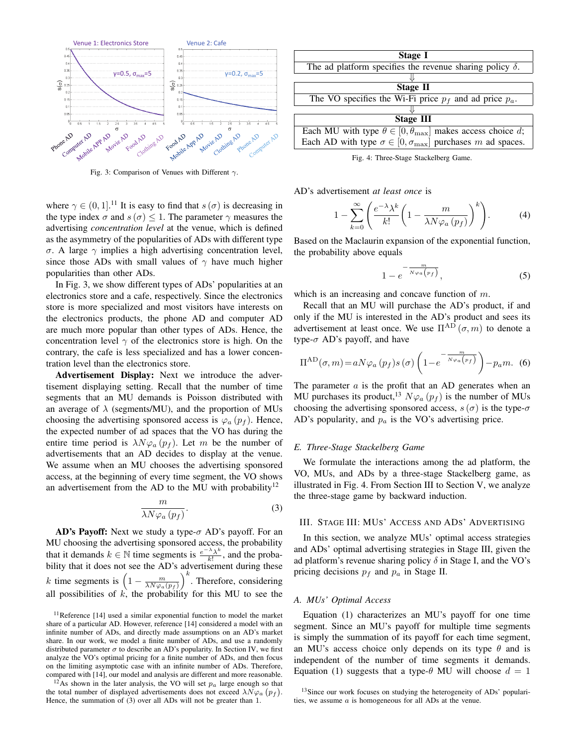

Fig. 3: Comparison of Venues with Different  $\gamma$ .

where  $\gamma \in (0, 1]$ .<sup>11</sup> It is easy to find that  $s(\sigma)$  is decreasing in the type index  $\sigma$  and  $s(\sigma) \leq 1$ . The parameter  $\gamma$  measures the advertising *concentration level* at the venue, which is defined as the asymmetry of the popularities of ADs with different type σ. A large  $\gamma$  implies a high advertising concentration level, since those ADs with small values of  $\gamma$  have much higher popularities than other ADs.

In Fig. 3, we show different types of ADs' popularities at an electronics store and a cafe, respectively. Since the electronics store is more specialized and most visitors have interests on the electronics products, the phone AD and computer AD are much more popular than other types of ADs. Hence, the concentration level  $\gamma$  of the electronics store is high. On the contrary, the cafe is less specialized and has a lower concentration level than the electronics store.

Advertisement Display: Next we introduce the advertisement displaying setting. Recall that the number of time segments that an MU demands is Poisson distributed with an average of  $\lambda$  (segments/MU), and the proportion of MUs choosing the advertising sponsored access is  $\varphi_a(p_f)$ . Hence, the expected number of ad spaces that the VO has during the entire time period is  $\lambda N \varphi_a(p_f)$ . Let m be the number of advertisements that an AD decides to display at the venue. We assume when an MU chooses the advertising sponsored access, at the beginning of every time segment, the VO shows an advertisement from the AD to the MU with probability<sup>12</sup>

$$
\frac{m}{\lambda N \varphi_a(p_f)}.\t\t(3)
$$

**AD's Payoff:** Next we study a type- $\sigma$  AD's payoff. For an MU choosing the advertising sponsored access, the probability that it demands  $k \in \mathbb{N}$  time segments is  $\frac{e^{-\lambda} \lambda^k}{k!}$  $\frac{K}{k!}$ , and the probability that it does not see the AD's advertisement during these k time segments is  $\left(1 - \frac{m}{\lambda N \varphi_a(p_f)}\right)^k$ . Therefore, considering all possibilities of  $k$ , the probability for this MU to see the



Fig. 4: Three-Stage Stackelberg Game.

AD's advertisement *at least once* is

$$
1 - \sum_{k=0}^{\infty} \left( \frac{e^{-\lambda} \lambda^k}{k!} \left( 1 - \frac{m}{\lambda N \varphi_a(p_f)} \right)^k \right). \tag{4}
$$

Based on the Maclaurin expansion of the exponential function, the probability above equals

$$
1 - e^{-\frac{m}{N\varphi_a(p_f)}}, \tag{5}
$$

which is an increasing and concave function of  $m$ .

Recall that an MU will purchase the AD's product, if and only if the MU is interested in the AD's product and sees its advertisement at least once. We use  $\Pi^{\text{AD}}(\sigma, m)$  to denote a type- $\sigma$  AD's payoff, and have

$$
\Pi^{\text{AD}}(\sigma, m) = aN\varphi_a(p_f)s(\sigma)\left(1 - e^{-\frac{m}{N\varphi_a(p_f)}}\right) - p_a m. \tag{6}
$$

The parameter  $a$  is the profit that an AD generates when an MU purchases its product,<sup>13</sup>  $N\varphi_a(p_f)$  is the number of MUs choosing the advertising sponsored access,  $s(\sigma)$  is the type- $\sigma$ AD's popularity, and  $p_a$  is the VO's advertising price.

## *E. Three-Stage Stackelberg Game*

We formulate the interactions among the ad platform, the VO, MUs, and ADs by a three-stage Stackelberg game, as illustrated in Fig. 4. From Section III to Section V, we analyze the three-stage game by backward induction.

## III. STAGE III: MUS' ACCESS AND ADS' ADVERTISING

In this section, we analyze MUs' optimal access strategies and ADs' optimal advertising strategies in Stage III, given the ad platform's revenue sharing policy  $\delta$  in Stage I, and the VO's pricing decisions  $p_f$  and  $p_a$  in Stage II.

## *A. MUs' Optimal Access*

Equation (1) characterizes an MU's payoff for one time segment. Since an MU's payoff for multiple time segments is simply the summation of its payoff for each time segment, an MU's access choice only depends on its type  $\theta$  and is independent of the number of time segments it demands. Equation (1) suggests that a type- $\theta$  MU will choose  $d = 1$ 

<sup>11</sup>Reference [14] used a similar exponential function to model the market share of a particular AD. However, reference [14] considered a model with an infinite number of ADs, and directly made assumptions on an AD's market share. In our work, we model a finite number of ADs, and use a randomly distributed parameter  $\sigma$  to describe an AD's popularity. In Section IV, we first analyze the VO's optimal pricing for a finite number of ADs, and then focus on the limiting asymptotic case with an infinite number of ADs. Therefore, compared with [14], our model and analysis are different and more reasonable.

<sup>&</sup>lt;sup>12</sup>As shown in the later analysis, the VO will set  $p_a$  large enough so that the total number of displayed advertisements does not exceed  $\lambda N \varphi_a(p_f)$ . Hence, the summation of (3) over all ADs will not be greater than 1.

<sup>&</sup>lt;sup>13</sup>Since our work focuses on studying the heterogeneity of ADs' popularities, we assume  $a$  is homogeneous for all ADs at the venue.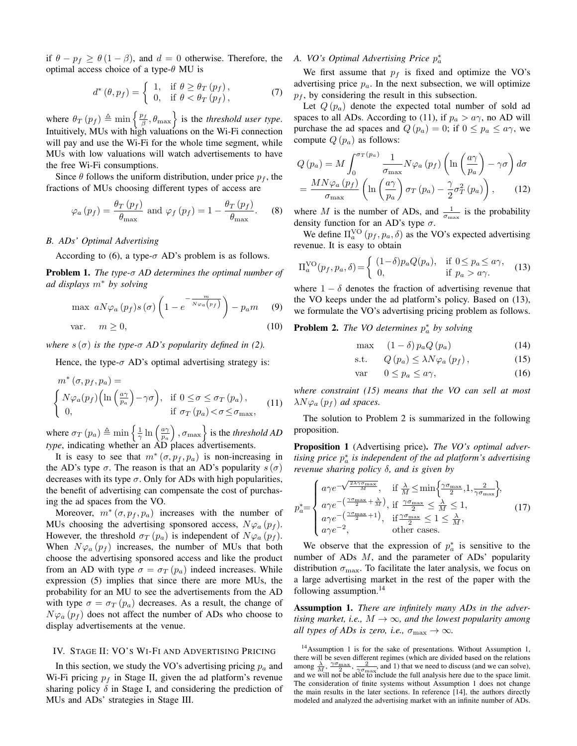if  $\theta - p_f \ge \theta (1 - \beta)$ , and  $d = 0$  otherwise. Therefore, the optimal access choice of a type- $\theta$  MU is

$$
d^*(\theta, p_f) = \begin{cases} 1, & \text{if } \theta \ge \theta_T(p_f), \\ 0, & \text{if } \theta < \theta_T(p_f), \end{cases}
$$
 (7)

where  $\theta_T(p_f) \triangleq \min\left\{\frac{p_f}{\beta}, \theta_{\text{max}}\right\}$  is the *threshold user type*. Intuitively, MUs with high valuations on the Wi-Fi connection will pay and use the Wi-Fi for the whole time segment, while MUs with low valuations will watch advertisements to have the free Wi-Fi consumptions.

Since  $\theta$  follows the uniform distribution, under price  $p_f$ , the fractions of MUs choosing different types of access are

$$
\varphi_a(p_f) = \frac{\theta_T(p_f)}{\theta_{\text{max}}}
$$
 and  $\varphi_f(p_f) = 1 - \frac{\theta_T(p_f)}{\theta_{\text{max}}}$ . (8)

## *B. ADs' Optimal Advertising*

According to (6), a type- $\sigma$  AD's problem is as follows.

Problem 1. *The type-*σ *AD determines the optimal number of ad displays* m<sup>∗</sup> *by solving*

$$
\max aN\varphi_a(p_f)s(\sigma)\left(1-e^{-\frac{m}{N\varphi_a(p_f)}}\right)-p_am\qquad(9)
$$

$$
var. \t m \ge 0,
$$
\t(10)

*where*  $s(\sigma)$  *is the type-* $\sigma$  *AD's popularity defined in (2).* 

Hence, the type- $\sigma$  AD's optimal advertising strategy is:

$$
m^*(\sigma, p_f, p_a) =
$$
  
\n
$$
\begin{cases}\nN\varphi_a(p_f) \left( \ln \left( \frac{a\gamma}{p_a} \right) - \gamma \sigma \right), & \text{if } 0 \le \sigma \le \sigma_T (p_a), \\
0, & \text{if } \sigma_T (p_a) < \sigma \le \sigma_{\text{max}},\n\end{cases}
$$
\n(11)

where  $\sigma_T(p_a) \triangleq \min\left\{\frac{1}{\gamma} \ln\left(\frac{a\gamma}{p_a}\right), \sigma_{\max}\right\}$  is the *threshold AD type*, indicating whether an AD places advertisements.

It is easy to see that  $m^*(\sigma, p_f, p_a)$  is non-increasing in the AD's type  $\sigma$ . The reason is that an AD's popularity  $s(\sigma)$ decreases with its type  $\sigma$ . Only for ADs with high popularities, the benefit of advertising can compensate the cost of purchasing the ad spaces from the VO.

Moreover,  $m^*(\sigma, p_f, p_a)$  increases with the number of MUs choosing the advertising sponsored access,  $N\varphi_a(p_f)$ . However, the threshold  $\sigma_T$  ( $p_a$ ) is independent of  $N\varphi_a$  ( $p_f$ ). When  $N\varphi_a(p_f)$  increases, the number of MUs that both choose the advertising sponsored access and like the product from an AD with type  $\sigma = \sigma_T (p_a)$  indeed increases. While expression (5) implies that since there are more MUs, the probability for an MU to see the advertisements from the AD with type  $\sigma = \sigma_T(p_a)$  decreases. As a result, the change of  $N\varphi_a(p_f)$  does not affect the number of ADs who choose to display advertisements at the venue.

## IV. STAGE II: VO'S WI-FI AND ADVERTISING PRICING

In this section, we study the VO's advertising pricing  $p_a$  and Wi-Fi pricing  $p_f$  in Stage II, given the ad platform's revenue sharing policy  $\delta$  in Stage I, and considering the prediction of MUs and ADs' strategies in Stage III.

# *A. VO's Optimal Advertising Price*  $p_a^*$

We first assume that  $p_f$  is fixed and optimize the VO's advertising price  $p_a$ . In the next subsection, we will optimize  $p_f$ , by considering the result in this subsection.

Let  $Q(p_a)$  denote the expected total number of sold ad spaces to all ADs. According to (11), if  $p_a > a\gamma$ , no AD will purchase the ad spaces and  $Q(p_a) = 0$ ; if  $0 \leq p_a \leq a\gamma$ , we compute  $Q(p_a)$  as follows:

$$
Q(p_a) = M \int_0^{\sigma_T(p_a)} \frac{1}{\sigma_{\text{max}}} N \varphi_a(p_f) \left( \ln \left( \frac{a\gamma}{p_a} \right) - \gamma \sigma \right) d\sigma
$$

$$
= \frac{M N \varphi_a(p_f)}{\sigma_{\text{max}}} \left( \ln \left( \frac{a\gamma}{p_a} \right) \sigma_T(p_a) - \frac{\gamma}{2} \sigma_T^2(p_a) \right), \qquad (12)
$$

where M is the number of ADs, and  $\frac{1}{\sigma_{\text{max}}}$  is the probability density function for an AD's type  $\sigma$ .

We define  $\Pi_a^{\text{VO}}(p_f, p_a, \delta)$  as the VO's expected advertising revenue. It is easy to obtain

$$
\Pi_a^{\text{VO}}(p_f, p_a, \delta) = \begin{cases} (1-\delta)p_a Q(p_a), & \text{if } 0 \le p_a \le a\gamma, \\ 0, & \text{if } p_a > a\gamma. \end{cases} (13)
$$

where  $1 - \delta$  denotes the fraction of advertising revenue that the VO keeps under the ad platform's policy. Based on (13), we formulate the VO's advertising pricing problem as follows.

**Problem 2.** The VO determines  $p_a^*$  by solving

$$
\max \quad (1 - \delta) \, p_a Q \, (p_a) \tag{14}
$$

$$
\text{s.t.} \qquad Q\left(p_a\right) \le \lambda N \varphi_a\left(p_f\right),\tag{15}
$$

$$
\text{var} \qquad 0 \le p_a \le a\gamma,\tag{16}
$$

(11)  $\lambda N \varphi_a(p_f)$  *ad spaces. where constraint (15) means that the VO can sell at most*

The solution to Problem 2 is summarized in the following proposition.

Proposition 1 (Advertising price). *The VO's optimal advertising price* p ∗ a *is independent of the ad platform's advertising revenue sharing policy* δ*, and is given by*

$$
p_a^* = \begin{cases} a\gamma e^{-\sqrt{\frac{2\lambda\gamma\sigma_{\max}}{M}}}, & \text{if } \frac{\lambda}{M} \le \min\left\{\frac{\gamma\sigma_{\max}}{2}, 1, \frac{2}{\gamma\sigma_{\max}}\right\},\\ a\gamma e^{-\left(\frac{\gamma\sigma_{\max}}{2} + \frac{\lambda}{M}\right)}, & \text{if } \frac{\gamma\sigma_{\max}}{2} \le \frac{\lambda}{M} \le 1,\\ a\gamma e^{-\left(\frac{\gamma\sigma_{\max}}{2} + 1\right)}, & \text{if } \frac{\gamma\sigma_{\max}}{2} \le 1 \le \frac{\lambda}{M},\\ a\gamma e^{-2}, & \text{other cases.} \end{cases} \tag{17}
$$

We observe that the expression of  $p_a^*$  is sensitive to the number of ADs  $M$ , and the parameter of ADs' popularity distribution  $\sigma_{\text{max}}$ . To facilitate the later analysis, we focus on a large advertising market in the rest of the paper with the following assumption.<sup>14</sup>

Assumption 1. *There are infinitely many ADs in the advertising market, i.e.,*  $M \rightarrow \infty$ *, and the lowest popularity among all types of ADs is zero, i.e.,*  $\sigma_{\text{max}} \rightarrow \infty$ *.* 

<sup>14</sup>Assumption 1 is for the sake of presentations. Without Assumption 1, there will be seven different regimes (which are divided based on the relations among  $\frac{\lambda}{M}$ ,  $\frac{\gamma \sigma_{\text{max}}}{2}$ ,  $\frac{2}{\gamma \sigma_{\text{max}}}$ , and 1) that we need to discuss (and we can solve), and we will not be able to include the full analysis here due to the space limit. The consideration of finite systems without Assumption 1 does not change the main results in the later sections. In reference [14], the authors directly modeled and analyzed the advertising market with an infinite number of ADs.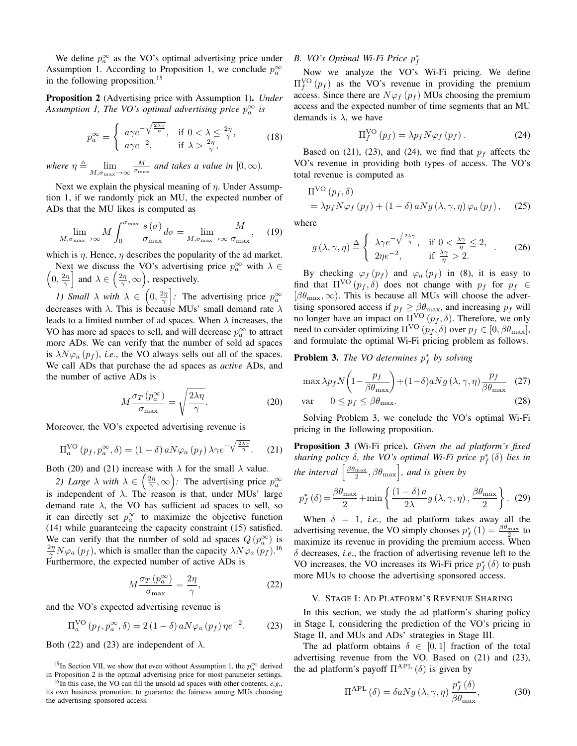We define  $p_a^{\infty}$  as the VO's optimal advertising price under Assumption 1. According to Proposition 1, we conclude  $p_a^{\infty}$ in the following proposition.<sup>15</sup>

Proposition 2 (Advertising price with Assumption 1). *Under* Assumption 1, The VO's optimal advertising price  $p_a^{\infty}$  is

$$
p_a^{\infty} = \begin{cases} a\gamma e^{-\sqrt{\frac{2\lambda\gamma}{\eta}}}, & \text{if } 0 < \lambda \le \frac{2\eta}{\gamma}, \\ a\gamma e^{-2}, & \text{if } \lambda > \frac{2\eta}{\gamma}, \end{cases}
$$
 (18)

*where*  $\eta \triangleq \lim_{M, \sigma_{\text{max}} \to \infty}$  $\frac{M}{\sigma_{\max}}$  and takes a value in  $[0, \infty)$ .

Next we explain the physical meaning of  $\eta$ . Under Assumption 1, if we randomly pick an MU, the expected number of ADs that the MU likes is computed as

$$
\lim_{M,\sigma_{\text{max}} \to \infty} M \int_0^{\sigma_{\text{max}}} \frac{s(\sigma)}{\sigma_{\text{max}}} d\sigma = \lim_{M,\sigma_{\text{max}} \to \infty} \frac{M}{\sigma_{\text{max}}},\quad (19)
$$

which is  $\eta$ . Hence,  $\eta$  describes the popularity of the ad market.

Next we discuss the VO's advertising price  $p_a^{\infty}$  with  $\lambda \in$ Next we discuss the VO's advertising price  $p_a^{\infty}$  with  $\lambda \in (0, \frac{2\eta}{\gamma}]$  and  $\lambda \in (\frac{2\eta}{\gamma}, \infty)$ , respectively.

*1) Small*  $\lambda$  *with*  $\lambda \in \left(0, \frac{2\eta}{\gamma}\right]$ : The advertising price  $p_a^{\infty}$ decreases with  $\lambda$ . This is because MUs' small demand rate  $\lambda$ leads to a limited number of ad spaces. When  $\lambda$  increases, the VO has more ad spaces to sell, and will decrease  $p_a^{\infty}$  to attract more ADs. We can verify that the number of sold ad spaces is  $\lambda N \varphi_a(p_f)$ , *i.e.*, the VO always sells out all of the spaces. We call ADs that purchase the ad spaces as *active* ADs, and the number of active ADs is

$$
M\frac{\sigma_T\left(p_a^{\infty}\right)}{\sigma_{\text{max}}} = \sqrt{\frac{2\lambda\eta}{\gamma}}.\tag{20}
$$

Moreover, the VO's expected advertising revenue is

$$
\Pi_a^{\text{VO}}\left(p_f, p_a^{\infty}, \delta\right) = \left(1 - \delta\right) a N \varphi_a\left(p_f\right) \lambda \gamma e^{-\sqrt{\frac{2\lambda \gamma}{\eta}}}. \tag{21}
$$

Both (20) and (21) increase with  $\lambda$  for the small  $\lambda$  value.

2) Large  $\lambda$  with  $\lambda \in \left(\frac{2\eta}{\gamma}, \infty\right)$ : The advertising price  $p_a^{\infty}$ is independent of  $\lambda$ . The reason is that, under MUs' large demand rate  $\lambda$ , the VO has sufficient ad spaces to sell, so it can directly set  $p_a^{\infty}$  to maximize the objective function (14) while guaranteeing the capacity constraint (15) satisfied. We can verify that the number of sold ad spaces  $Q(p_a^{\infty})$  is  $\frac{2\eta}{\gamma} N \varphi_a(p_f)$ , which is smaller than the capacity  $\lambda N \varphi_a(p_f)$ .<sup>16</sup> Furthermore, the expected number of active ADs is

$$
M\frac{\sigma_T\left(p_a^{\infty}\right)}{\sigma_{\text{max}}} = \frac{2\eta}{\gamma},\tag{22}
$$

and the VO's expected advertising revenue is

$$
\Pi_a^{\text{VO}}\left(p_f, p_a^{\infty}, \delta\right) = 2\left(1 - \delta\right) a N \varphi_a\left(p_f\right) \eta e^{-2}.\tag{23}
$$

Both (22) and (23) are independent of  $\lambda$ .

<sup>15</sup>In Section VII, we show that even without Assumption 1, the  $p_a^{\infty}$  derived in Proposition 2 is the optimal advertising price for most parameter settings.

# *B. VO's Optimal Wi-Fi Price* p ∗ f

Now we analyze the VO's Wi-Fi pricing. We define  $\Pi_f^{\text{VO}}(p_f)$  as the VO's revenue in providing the premium access. Since there are  $N\varphi_f(p_f)$  MUs choosing the premium access and the expected number of time segments that an MU demands is  $\lambda$ , we have

$$
\Pi_f^{\text{VO}}\left(p_f\right) = \lambda p_f N \varphi_f\left(p_f\right). \tag{24}
$$

Based on (21), (23), and (24), we find that  $p_f$  affects the VO's revenue in providing both types of access. The VO's total revenue is computed as

$$
\Pi^{VO}(p_f, \delta) = \lambda p_f N \varphi_f(p_f) + (1 - \delta) a N g(\lambda, \gamma, \eta) \varphi_a(p_f), \quad (25)
$$

where

$$
g(\lambda, \gamma, \eta) \stackrel{\Delta}{=} \begin{cases} \lambda \gamma e^{-\sqrt{\frac{2\lambda\gamma}{\eta}}}, & \text{if } 0 < \frac{\lambda\gamma}{\eta} \le 2, \\ 2\eta e^{-2}, & \text{if } \frac{\lambda\gamma}{\eta} > 2. \end{cases}
$$
 (26)

By checking  $\varphi_f(p_f)$  and  $\varphi_a(p_f)$  in (8), it is easy to find that  $\Pi^{\text{VO}}(p_f, \delta)$  does not change with  $p_f$  for  $p_f \in$  $[\beta\theta_{\text{max}}, \infty)$ . This is because all MUs will choose the advertising sponsored access if  $p_f \geq \beta \theta_{\text{max}}$ , and increasing  $p_f$  will no longer have an impact on  $\Pi^{\text{VO}}(p_f, \delta)$ . Therefore, we only need to consider optimizing  $\Pi^{\text{VO}}(p_f, \delta)$  over  $p_f \in [0, \beta \theta_{\text{max}}]$ , and formulate the optimal Wi-Fi pricing problem as follows.

**Problem 3.** The VO determines  $p_f^*$  by solving

$$
\max \lambda p_f N \left( 1 - \frac{p_f}{\beta \theta_{\text{max}}} \right) + (1 - \delta) a N g \left( \lambda, \gamma, \eta \right) \frac{p_f}{\beta \theta_{\text{max}}} \tag{27}
$$
  
var 
$$
0 \le p_f \le \beta \theta_{\text{max}}.
$$
 (28)

Solving Problem 3, we conclude the VO's optimal Wi-Fi pricing in the following proposition.

Proposition 3 (Wi-Fi price). *Given the ad platform's fixed sharing policy* δ*, the VO's optimal Wi-Fi price* p ∗ f (δ) *lies in* the interval  $\left[\frac{\beta \theta_{\max}}{2}, \beta \theta_{\max}\right]$ , and is given by

$$
p_f^*\left(\delta\right) = \frac{\beta \theta_{\text{max}}}{2} + \min\left\{\frac{\left(1-\delta\right)a}{2\lambda}g\left(\lambda, \gamma, \eta\right), \frac{\beta \theta_{\text{max}}}{2}\right\}.
$$
 (29)

When  $\delta = 1$ , *i.e.*, the ad platform takes away all the advertising revenue, the VO simply chooses  $p_f^*(1) = \frac{\beta \theta_{\text{max}}}{2}$  to maximize its revenue in providing the premium access. When  $\delta$  decreases, *i.e.*, the fraction of advertising revenue left to the VO increases, the VO increases its Wi-Fi price  $p_f^*(\delta)$  to push more MUs to choose the advertising sponsored access.

## V. STAGE I: AD PLATFORM'S REVENUE SHARING

In this section, we study the ad platform's sharing policy in Stage I, considering the prediction of the VO's pricing in Stage II, and MUs and ADs' strategies in Stage III.

The ad platform obtains  $\delta \in [0,1]$  fraction of the total advertising revenue from the VO. Based on (21) and (23), the ad platform's payoff  $\Pi^{\text{APL}}(\delta)$  is given by

$$
\Pi^{\text{APL}}\left(\delta\right) = \delta a N g\left(\lambda, \gamma, \eta\right) \frac{p_f^*\left(\delta\right)}{\beta \theta_{\text{max}}},\tag{30}
$$

<sup>16</sup>In this case, the VO can fill the unsold ad spaces with other contents, *e.g.*, its own business promotion, to guarantee the fairness among MUs choosing the advertising sponsored access.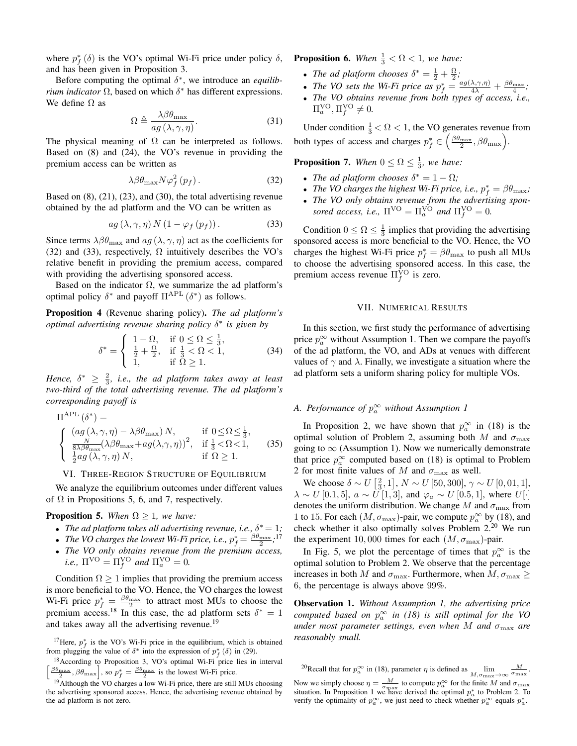where  $p_f^*(\delta)$  is the VO's optimal Wi-Fi price under policy  $\delta$ , and has been given in Proposition 3.

Before computing the optimal  $\delta^*$ , we introduce an *equilibrium indicator*  $\Omega$ , based on which  $\delta^*$  has different expressions. We define  $\Omega$  as

$$
\Omega \triangleq \frac{\lambda \beta \theta_{\text{max}}}{ag\left(\lambda, \gamma, \eta\right)}.\tag{31}
$$

The physical meaning of  $\Omega$  can be interpreted as follows. Based on (8) and (24), the VO's revenue in providing the premium access can be written as

$$
\lambda \beta \theta_{\text{max}} N \varphi_f^2(p_f). \tag{32}
$$

Based on (8), (21), (23), and (30), the total advertising revenue obtained by the ad platform and the VO can be written as

$$
ag\left(\lambda, \gamma, \eta\right) N\left(1 - \varphi_f\left(p_f\right)\right). \tag{33}
$$

Since terms  $\lambda \beta \theta_{\text{max}}$  and  $ag(\lambda, \gamma, \eta)$  act as the coefficients for (32) and (33), respectively,  $\Omega$  intuitively describes the VO's relative benefit in providing the premium access, compared with providing the advertising sponsored access.

Based on the indicator  $\Omega$ , we summarize the ad platform's optimal policy  $\delta^*$  and payoff  $\Pi^{\text{APL}}(\delta^*)$  as follows.

Proposition 4 (Revenue sharing policy). *The ad platform's optimal advertising revenue sharing policy* δ ∗ *is given by*

$$
\delta^* = \begin{cases} 1 - \Omega, & \text{if } 0 \le \Omega \le \frac{1}{3}, \\ \frac{1}{2} + \frac{\Omega}{2}, & \text{if } \frac{1}{3} < \Omega < 1, \\ 1, & \text{if } \Omega \ge 1. \end{cases}
$$
 (34)

Hence,  $\delta^* \geq \frac{2}{3}$ , *i.e.*, the ad platform takes away at least *two-third of the total advertising revenue. The ad platform's corresponding payoff is*

$$
\Pi^{\text{APL}}\left(\delta^{*}\right) = \left\{\n\begin{array}{ll}\n\left(aq\left(\lambda,\gamma,\eta\right)-\lambda\beta\theta_{\text{max}}\right)N, & \text{if } 0 \leq \Omega \leq \frac{1}{3}, \\
\frac{N}{8\lambda\beta\theta_{\text{max}}}(\lambda\beta\theta_{\text{max}}+ag(\lambda,\gamma,\eta))^{2}, & \text{if } \frac{1}{3} < \Omega < 1, \\
\frac{1}{2}ag\left(\lambda,\gamma,\eta\right)N, & \text{if } \Omega \geq 1.\n\end{array}\n\right.\n\tag{35}
$$

#### VI. THREE-REGION STRUCTURE OF EQUILIBRIUM

We analyze the equilibrium outcomes under different values of  $\Omega$  in Propositions 5, 6, and 7, respectively.

## **Proposition 5.** *When*  $\Omega \geq 1$ *, we have:*

- *The ad platform takes all advertising revenue, i.e.,*  $\delta^* = 1$ ;
- *The VO charges the lowest Wi-Fi price, i.e.,*  $p_f^* = \frac{\beta \theta_{\text{max}}}{2}$ *,*<sup>17</sup>
- *The VO only obtains revenue from the premium access, i.e.*,  $\Pi^{\text{VO}} = \Pi_f^{\text{VO}}$  and  $\Pi_a^{\text{VO}} = 0$ .

Condition  $\Omega \geq 1$  implies that providing the premium access is more beneficial to the VO. Hence, the VO charges the lowest Wi-Fi price  $p_f^* = \frac{\beta \theta_{\text{max}}}{2}$  to attract most MUs to choose the premium access.<sup>18</sup> In this case, the ad platform sets  $\delta^* = 1$ and takes away all the advertising revenue.<sup>19</sup>

<sup>17</sup>Here,  $p_f^*$  is the VO's Wi-Fi price in the equilibrium, which is obtained from plugging the value of  $\delta^*$  into the expression of  $p_f^*(\delta)$  in (29).

<sup>18</sup> According to Proposition 3, VO's optimal Wi-Fi price lies in interval  $\left(\frac{\beta \theta_{\text{max}}}{2}, \beta \theta_{\text{max}}\right)$ , so  $p_f^* = \frac{\beta \theta_{\text{max}}}{2}$  is the lowest Wi-Fi price.

**Proposition 6.** When  $\frac{1}{3} < \Omega < 1$ , we have:

- *The ad platform chooses*  $\delta^* = \frac{1}{2} + \frac{\Omega}{2}$ ;
- *The VO sets the Wi-Fi price as*  $p_f^* = \frac{ag(\lambda, \gamma, \eta)}{4\lambda} + \frac{\beta \theta_{\text{max}}}{4}$ ;
- *The VO obtains revenue from both types of access, i.e.,*  $\Pi_a^{\text{VO}}, \Pi_f^{\text{VO}} \neq 0.$

Under condition  $\frac{1}{3} < \Omega < 1$ , the VO generates revenue from both types of access and charges  $p_f^* \in \left(\frac{\beta \theta_{\text{max}}}{2}, \beta \theta_{\text{max}}\right)$ .

**Proposition 7.** When  $0 \le \Omega \le \frac{1}{3}$ , we have:

- *The ad platform chooses*  $\delta^* = 1 \Omega$ ;
- *The VO charges the highest Wi-Fi price, i.e.,*  $p_f^* = \beta \theta_{\text{max}}$ ;
- *The VO only obtains revenue from the advertising sponsored access, i.e.,*  $\Pi^{\text{VO}} = \Pi^{\text{VO}}_a$  *and*  $\Pi^{\text{VO}}_f = 0$ *.*

Condition  $0 \le \Omega \le \frac{1}{3}$  implies that providing the advertising sponsored access is more beneficial to the VO. Hence, the VO charges the highest Wi-Fi price  $p_f^* = \beta \theta_{\text{max}}$  to push all MUs to choose the advertising sponsored access. In this case, the premium access revenue  $\Pi_f^{\text{VO}}$  is zero.

## VII. NUMERICAL RESULTS

In this section, we first study the performance of advertising price  $p_a^{\infty}$  without Assumption 1. Then we compare the payoffs of the ad platform, the VO, and ADs at venues with different values of  $\gamma$  and  $\lambda$ . Finally, we investigate a situation where the ad platform sets a uniform sharing policy for multiple VOs.

# *A. Performance of* p<sup>∞</sup> <sup>a</sup> *without Assumption 1*

In Proposition 2, we have shown that  $p_a^{\infty}$  in (18) is the optimal solution of Problem 2, assuming both M and  $\sigma_{\text{max}}$ going to  $\infty$  (Assumption 1). Now we numerically demonstrate that price  $p_a^{\infty}$  computed based on (18) is optimal to Problem 2 for most finite values of M and  $\sigma_{\text{max}}$  as well.

We choose  $\delta \sim U\left[\frac{2}{3}, 1\right]$ ,  $N \sim U$  [50, 300],  $\gamma \sim U$  [0, 01, 1],  $\lambda \sim U[0.1, 5], a \sim U[1, 3],$  and  $\varphi_a \sim U[0.5, 1],$  where  $U[\cdot]$ denotes the uniform distribution. We change  $M$  and  $\sigma_{\text{max}}$  from 1 to 15. For each  $(M, \sigma_{\text{max}})$ -pair, we compute  $p_a^{\infty}$  by (18), and check whether it also optimally solves Problem  $2.20$  We run the experiment 10,000 times for each  $(M, \sigma_{\text{max}})$ -pair.

In Fig. 5, we plot the percentage of times that  $p_a^{\infty}$  is the optimal solution to Problem 2. We observe that the percentage increases in both M and  $\sigma_{\text{max}}$ . Furthermore, when  $M, \sigma_{\text{max}} \geq$ 6, the percentage is always above 99%.

Observation 1. *Without Assumption 1, the advertising price computed based on*  $p_a^{\infty}$  *in (18) is still optimal for the VO under most parameter settings, even when* M *and*  $\sigma_{\text{max}}$  *are reasonably small.*

<sup>20</sup>Recall that for  $p_a^{\infty}$  in (18), parameter  $\eta$  is defined as  $\lim_{M,\sigma_{\text{max}} \to \infty}$  $\frac{M}{\sigma_{\max}}$ . Now we simply choose  $\eta = \frac{M}{\sigma_{\text{max}}}$  to compute  $p_a^{\infty}$  for the finite M and  $\sigma_{\text{max}}$ situation. In Proposition 1 we have derived the optimal  $p_a^*$  to Problem 2. To verify the optimality of  $p_a^{\infty}$ , we just need to check whether  $p_a^{\infty}$  equals  $p_a^*$ .

<sup>&</sup>lt;sup>19</sup> Although the VO charges a low Wi-Fi price, there are still MUs choosing the advertising sponsored access. Hence, the advertising revenue obtained by the ad platform is not zero.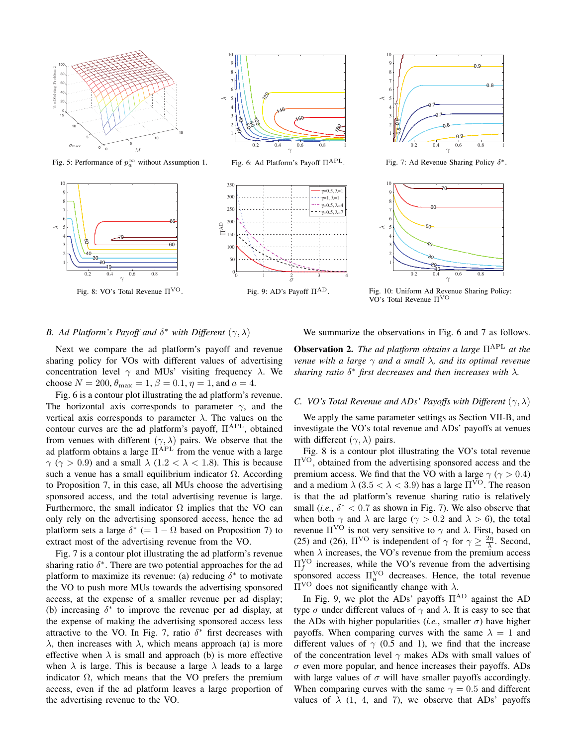

Fig. 5: Performance of  $p_a^{\infty}$  without Assumption 1.



Fig. 8: VO's Total Revenue ΠVO.



Fig. 6: Ad Platform's Payoff ΠAPL.



Fig. 9: AD's Payoff  $\Pi^{\text{AD}}$ 



Fig. 7: Ad Revenue Sharing Policy  $\delta^*$ .



Fig. 10: Uniform Ad Revenue Sharing Policy: VO's Total Revenue Π<sup>VO</sup>

## **B.** Ad Platform's Payoff and  $\delta^*$  with Different  $(\gamma, \lambda)$

Next we compare the ad platform's payoff and revenue sharing policy for VOs with different values of advertising concentration level  $\gamma$  and MUs' visiting frequency  $\lambda$ . We choose  $N = 200$ ,  $\theta_{\text{max}} = 1$ ,  $\beta = 0.1$ ,  $\eta = 1$ , and  $a = 4$ .

Fig. 6 is a contour plot illustrating the ad platform's revenue. The horizontal axis corresponds to parameter  $\gamma$ , and the vertical axis corresponds to parameter  $\lambda$ . The values on the contour curves are the ad platform's payoff, ΠAPL, obtained from venues with different  $(\gamma, \lambda)$  pairs. We observe that the ad platform obtains a large  $\Pi^{\rm APL}$  from the venue with a large  $\gamma$  ( $\gamma > 0.9$ ) and a small  $\lambda$  (1.2 <  $\lambda$  < 1.8). This is because such a venue has a small equilibrium indicator  $\Omega$ . According to Proposition 7, in this case, all MUs choose the advertising sponsored access, and the total advertising revenue is large. Furthermore, the small indicator  $\Omega$  implies that the VO can only rely on the advertising sponsored access, hence the ad platform sets a large  $\delta^*$  (= 1 –  $\Omega$  based on Proposition 7) to extract most of the advertising revenue from the VO.

Fig. 7 is a contour plot illustrating the ad platform's revenue sharing ratio  $\delta^*$ . There are two potential approaches for the ad platform to maximize its revenue: (a) reducing  $\delta^*$  to motivate the VO to push more MUs towards the advertising sponsored access, at the expense of a smaller revenue per ad display; (b) increasing  $\delta^*$  to improve the revenue per ad display, at the expense of making the advertising sponsored access less attractive to the VO. In Fig. 7, ratio  $\delta^*$  first decreases with  $\lambda$ , then increases with  $\lambda$ , which means approach (a) is more effective when  $\lambda$  is small and approach (b) is more effective when  $\lambda$  is large. This is because a large  $\lambda$  leads to a large indicator  $Ω$ , which means that the VO prefers the premium access, even if the ad platform leaves a large proportion of the advertising revenue to the VO.

We summarize the observations in Fig. 6 and 7 as follows.

Observation 2. *The ad platform obtains a large* ΠAPL *at the venue with a large* γ *and a small* λ*, and its optimal revenue sharing ratio* δ <sup>∗</sup> *first decreases and then increases with* λ*.*

## *C. VO's Total Revenue and ADs' Payoffs with Different*  $(\gamma, \lambda)$

We apply the same parameter settings as Section VII-B, and investigate the VO's total revenue and ADs' payoffs at venues with different  $(\gamma, \lambda)$  pairs.

Fig. 8 is a contour plot illustrating the VO's total revenue  $\Pi^{\text{VO}}$ , obtained from the advertising sponsored access and the premium access. We find that the VO with a large  $\gamma$  ( $\gamma > 0.4$ ) and a medium  $\lambda$  (3.5 <  $\lambda$  < 3.9) has a large  $\Pi$ <sup>VO</sup>. The reason is that the ad platform's revenue sharing ratio is relatively small (*i.e.*,  $\delta^* < 0.7$  as shown in Fig. 7). We also observe that when both  $\gamma$  and  $\lambda$  are large ( $\gamma > 0.2$  and  $\lambda > 6$ ), the total revenue  $\Pi^{\text{VO}}$  is not very sensitive to  $\gamma$  and  $\lambda$ . First, based on (25) and (26),  $\Pi^{\text{VO}}$  is independent of  $\gamma$  for  $\gamma \geq \frac{2\eta}{\lambda}$ . Second, when  $\lambda$  increases, the VO's revenue from the premium access  $\Pi_f^{\text{VO}}$  increases, while the VO's revenue from the advertising sponsored access  $\Pi_a^{\text{VO}}$  decreases. Hence, the total revenue ΠVO does not significantly change with λ.

In Fig. 9, we plot the ADs' payoffs  $\Pi^{\text{AD}}$  against the AD type  $\sigma$  under different values of  $\gamma$  and  $\lambda$ . It is easy to see that the ADs with higher popularities (*i.e.*, smaller  $\sigma$ ) have higher payoffs. When comparing curves with the same  $\lambda = 1$  and different values of  $\gamma$  (0.5 and 1), we find that the increase of the concentration level  $\gamma$  makes ADs with small values of  $\sigma$  even more popular, and hence increases their payoffs. ADs with large values of  $\sigma$  will have smaller payoffs accordingly. When comparing curves with the same  $\gamma = 0.5$  and different values of  $\lambda$  (1, 4, and 7), we observe that ADs' payoffs